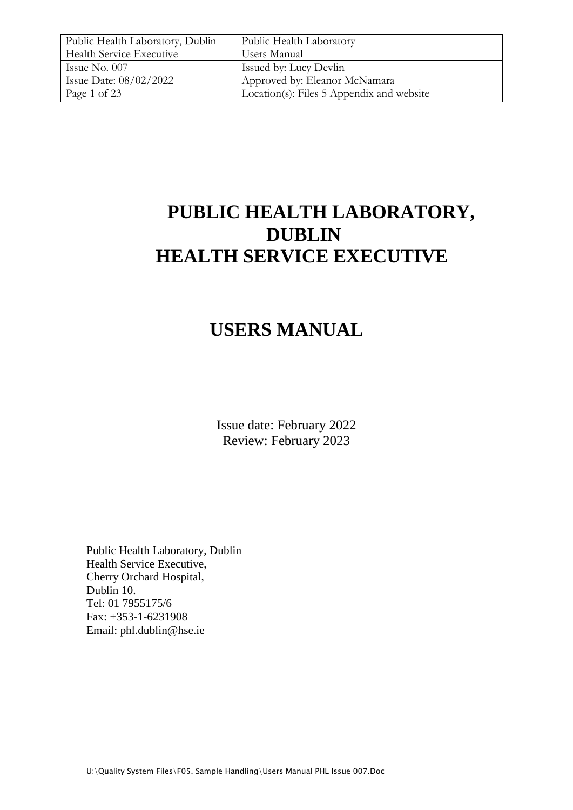| Public Health Laboratory, Dublin | Public Health Laboratory                  |
|----------------------------------|-------------------------------------------|
| <b>Health Service Executive</b>  | Users Manual                              |
| Issue No. 007                    | Issued by: Lucy Devlin                    |
| Issue Date: $08/02/2022$         | Approved by: Eleanor McNamara             |
| Page 1 of 23                     | Location(s): Files 5 Appendix and website |

# **PUBLIC HEALTH LABORATORY, DUBLIN HEALTH SERVICE EXECUTIVE**

# **USERS MANUAL**

Issue date: February 2022 Review: February 2023

Public Health Laboratory, Dublin Health Service Executive, Cherry Orchard Hospital, Dublin 10. Tel: 01 7955175/6 Fax: +353-1-6231908 Email: phl.dublin@hse.ie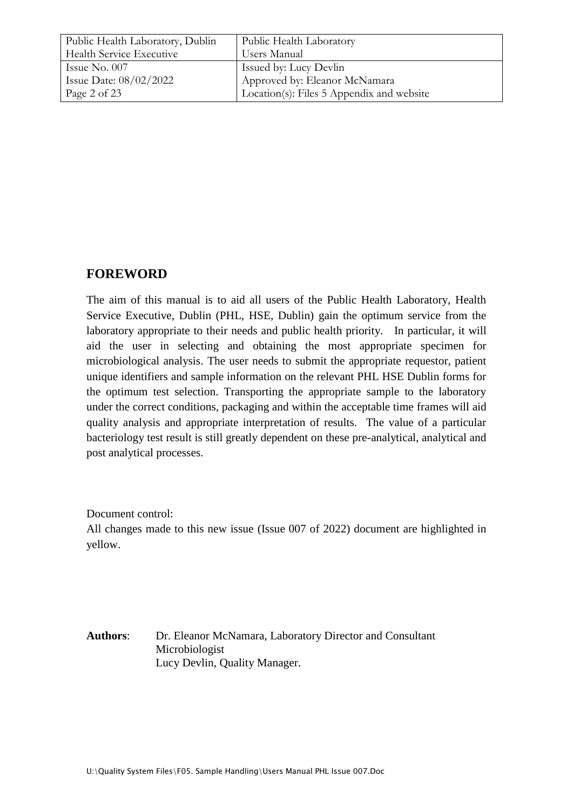| Public Health Laboratory, Dublin | Public Health Laboratory                  |
|----------------------------------|-------------------------------------------|
| Health Service Executive         | Users Manual                              |
| Issue No. $007$                  | Issued by: Lucy Devlin                    |
| Issue Date: $08/02/2022$         | Approved by: Eleanor McNamara             |
| Page 2 of 23                     | Location(s): Files 5 Appendix and website |

# **FOREWORD**

The aim of this manual is to aid all users of the Public Health Laboratory, Health Service Executive, Dublin (PHL, HSE, Dublin) gain the optimum service from the laboratory appropriate to their needs and public health priority. In particular, it will aid the user in selecting and obtaining the most appropriate specimen for microbiological analysis. The user needs to submit the appropriate requestor, patient unique identifiers and sample information on the relevant PHL HSE Dublin forms for the optimum test selection. Transporting the appropriate sample to the laboratory under the correct conditions, packaging and within the acceptable time frames will aid quality analysis and appropriate interpretation of results. The value of a particular bacteriology test result is still greatly dependent on these pre-analytical, analytical and post analytical processes.

Document control:

All changes made to this new issue (Issue 007 of 2022) document are highlighted in yellow.

**Authors**: Dr. Eleanor McNamara, Laboratory Director and Consultant Microbiologist Lucy Devlin, Quality Manager.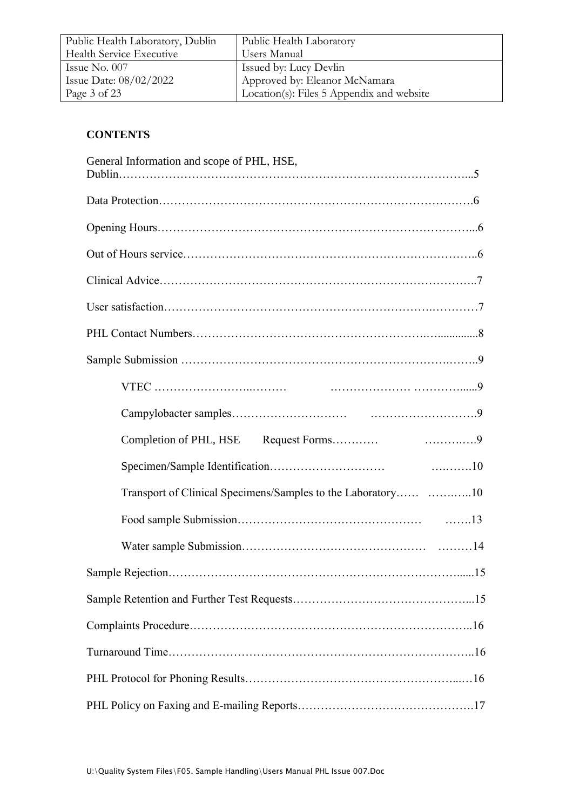| Public Health Laboratory, Dublin | Public Health Laboratory                  |
|----------------------------------|-------------------------------------------|
| Health Service Executive         | Users Manual                              |
| Issue No. $007$                  | Issued by: Lucy Devlin                    |
| Issue Date: $08/02/2022$         | Approved by: Eleanor McNamara             |
| Page 3 of 23                     | Location(s): Files 5 Appendix and website |

# **CONTENTS**

| General Information and scope of PHL, HSE,                   |
|--------------------------------------------------------------|
|                                                              |
|                                                              |
|                                                              |
|                                                              |
|                                                              |
|                                                              |
|                                                              |
|                                                              |
|                                                              |
|                                                              |
|                                                              |
| Transport of Clinical Specimens/Samples to the Laboratory 10 |
|                                                              |
|                                                              |
|                                                              |
|                                                              |
|                                                              |
|                                                              |
|                                                              |
|                                                              |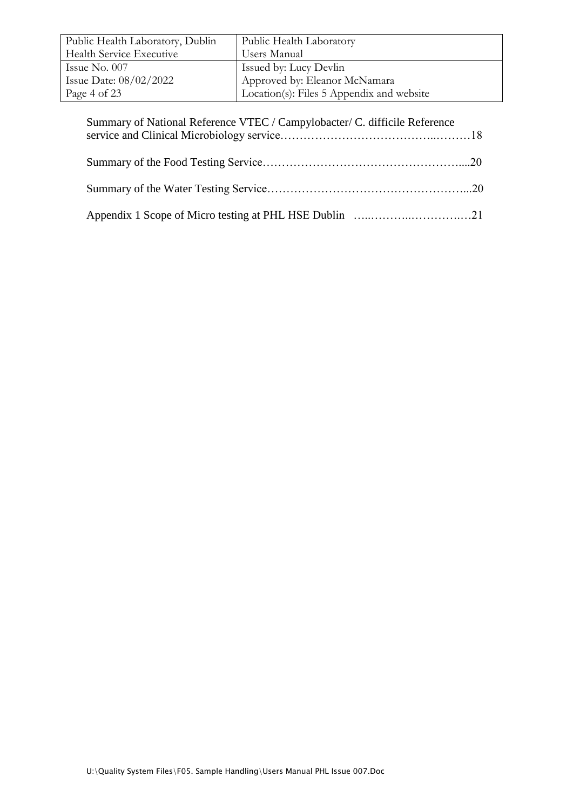| Public Health Laboratory, Dublin | Public Health Laboratory                  |
|----------------------------------|-------------------------------------------|
| <b>Health Service Executive</b>  | Users Manual                              |
| Issue No. 007                    | Issued by: Lucy Devlin                    |
| Issue Date: $08/02/2022$         | Approved by: Eleanor McNamara             |
| Page 4 of 23                     | Location(s): Files 5 Appendix and website |

| Summary of National Reference VTEC / Campylobacter/ C. difficile Reference |  |
|----------------------------------------------------------------------------|--|
|                                                                            |  |
|                                                                            |  |
|                                                                            |  |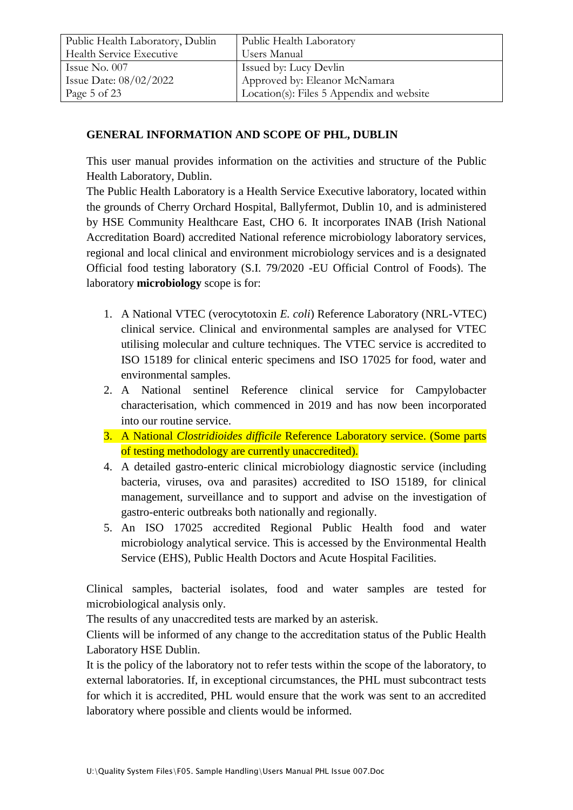| Public Health Laboratory, Dublin | Public Health Laboratory                  |
|----------------------------------|-------------------------------------------|
| <b>Health Service Executive</b>  | Users Manual                              |
| Issue No. $007$                  | Issued by: Lucy Devlin                    |
| Issue Date: $08/02/2022$         | Approved by: Eleanor McNamara             |
| Page 5 of 23                     | Location(s): Files 5 Appendix and website |

## **GENERAL INFORMATION AND SCOPE OF PHL, DUBLIN**

This user manual provides information on the activities and structure of the Public Health Laboratory, Dublin.

The Public Health Laboratory is a Health Service Executive laboratory, located within the grounds of Cherry Orchard Hospital, Ballyfermot, Dublin 10, and is administered by HSE Community Healthcare East, CHO 6. It incorporates INAB (Irish National Accreditation Board) accredited National reference microbiology laboratory services, regional and local clinical and environment microbiology services and is a designated Official food testing laboratory (S.I. 79/2020 -EU Official Control of Foods). The laboratory **microbiology** scope is for:

- 1. A National VTEC (verocytotoxin *E. coli*) Reference Laboratory (NRL-VTEC) clinical service. Clinical and environmental samples are analysed for VTEC utilising molecular and culture techniques. The VTEC service is accredited to ISO 15189 for clinical enteric specimens and ISO 17025 for food, water and environmental samples.
- 2. A National sentinel Reference clinical service for Campylobacter characterisation, which commenced in 2019 and has now been incorporated into our routine service.
- 3. A National *Clostridioides difficile* Reference Laboratory service. (Some parts of testing methodology are currently unaccredited).
- 4. A detailed gastro-enteric clinical microbiology diagnostic service (including bacteria, viruses, ova and parasites) accredited to ISO 15189, for clinical management, surveillance and to support and advise on the investigation of gastro-enteric outbreaks both nationally and regionally.
- 5. An ISO 17025 accredited Regional Public Health food and water microbiology analytical service. This is accessed by the Environmental Health Service (EHS), Public Health Doctors and Acute Hospital Facilities.

Clinical samples, bacterial isolates, food and water samples are tested for microbiological analysis only.

The results of any unaccredited tests are marked by an asterisk.

Clients will be informed of any change to the accreditation status of the Public Health Laboratory HSE Dublin.

It is the policy of the laboratory not to refer tests within the scope of the laboratory, to external laboratories. If, in exceptional circumstances, the PHL must subcontract tests for which it is accredited, PHL would ensure that the work was sent to an accredited laboratory where possible and clients would be informed.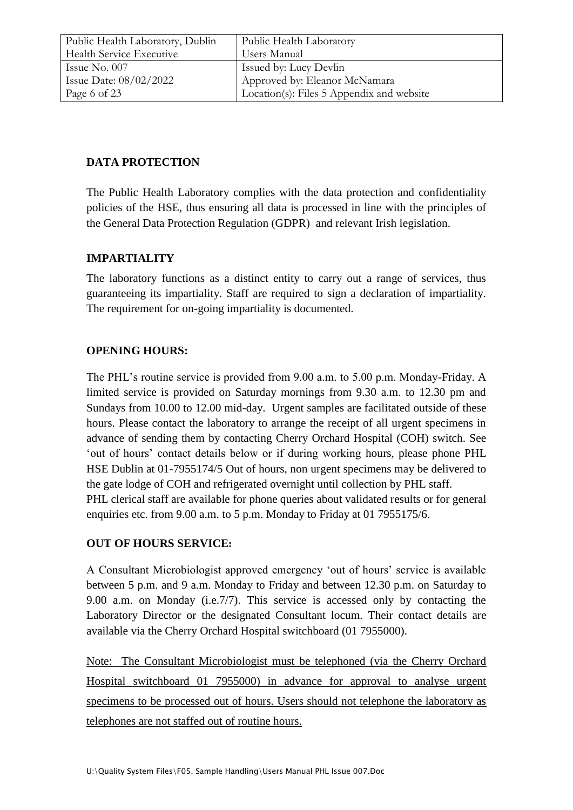| Public Health Laboratory, Dublin | Public Health Laboratory                  |
|----------------------------------|-------------------------------------------|
| <b>Health Service Executive</b>  | Users Manual                              |
| Issue No. $007$                  | Issued by: Lucy Devlin                    |
| Issue Date: $08/02/2022$         | Approved by: Eleanor McNamara             |
| Page 6 of 23                     | Location(s): Files 5 Appendix and website |

## **DATA PROTECTION**

The Public Health Laboratory complies with the data protection and confidentiality policies of the HSE, thus ensuring all data is processed in line with the principles of the General Data Protection Regulation (GDPR) and relevant Irish legislation.

## **IMPARTIALITY**

The laboratory functions as a distinct entity to carry out a range of services, thus guaranteeing its impartiality. Staff are required to sign a declaration of impartiality. The requirement for on-going impartiality is documented.

## **OPENING HOURS:**

The PHL's routine service is provided from 9.00 a.m. to 5.00 p.m. Monday-Friday. A limited service is provided on Saturday mornings from 9.30 a.m. to 12.30 pm and Sundays from 10.00 to 12.00 mid-day. Urgent samples are facilitated outside of these hours. Please contact the laboratory to arrange the receipt of all urgent specimens in advance of sending them by contacting Cherry Orchard Hospital (COH) switch. See 'out of hours' contact details below or if during working hours, please phone PHL HSE Dublin at 01-7955174/5 Out of hours, non urgent specimens may be delivered to the gate lodge of COH and refrigerated overnight until collection by PHL staff. PHL clerical staff are available for phone queries about validated results or for general enquiries etc. from 9.00 a.m. to 5 p.m. Monday to Friday at 01 7955175/6.

#### **OUT OF HOURS SERVICE:**

A Consultant Microbiologist approved emergency 'out of hours' service is available between 5 p.m. and 9 a.m. Monday to Friday and between 12.30 p.m. on Saturday to 9.00 a.m. on Monday (i.e.7/7). This service is accessed only by contacting the Laboratory Director or the designated Consultant locum. Their contact details are available via the Cherry Orchard Hospital switchboard (01 7955000).

Note: The Consultant Microbiologist must be telephoned (via the Cherry Orchard Hospital switchboard 01 7955000) in advance for approval to analyse urgent specimens to be processed out of hours. Users should not telephone the laboratory as telephones are not staffed out of routine hours.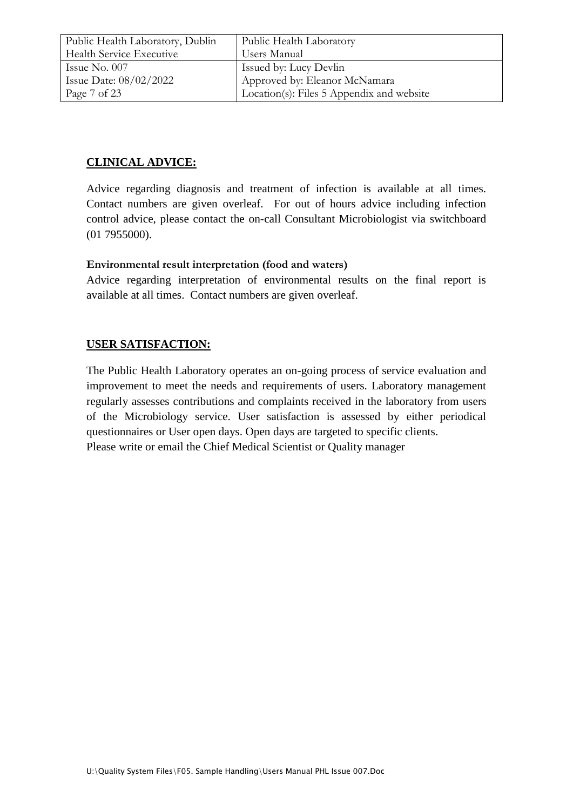| Public Health Laboratory, Dublin | Public Health Laboratory                  |
|----------------------------------|-------------------------------------------|
| Health Service Executive         | Users Manual                              |
| Issue No. $007$                  | Issued by: Lucy Devlin                    |
| Issue Date: $08/02/2022$         | Approved by: Eleanor McNamara             |
| Page 7 of 23                     | Location(s): Files 5 Appendix and website |

# **CLINICAL ADVICE:**

Advice regarding diagnosis and treatment of infection is available at all times. Contact numbers are given overleaf. For out of hours advice including infection control advice, please contact the on-call Consultant Microbiologist via switchboard (01 7955000).

## **Environmental result interpretation (food and waters)**

Advice regarding interpretation of environmental results on the final report is available at all times. Contact numbers are given overleaf.

## **USER SATISFACTION:**

The Public Health Laboratory operates an on-going process of service evaluation and improvement to meet the needs and requirements of users. Laboratory management regularly assesses contributions and complaints received in the laboratory from users of the Microbiology service. User satisfaction is assessed by either periodical questionnaires or User open days. Open days are targeted to specific clients. Please write or email the Chief Medical Scientist or Quality manager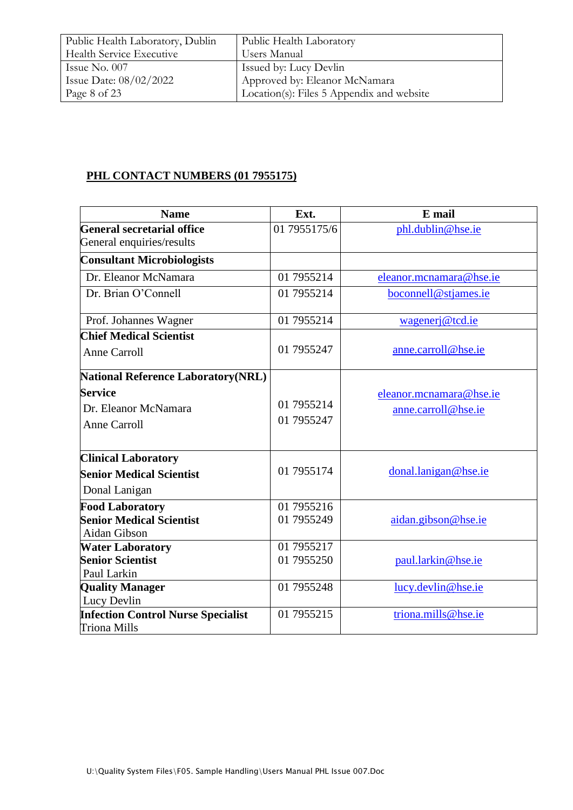| Public Health Laboratory, Dublin | Public Health Laboratory                  |
|----------------------------------|-------------------------------------------|
| Health Service Executive         | Users Manual                              |
| Issue No. $007$                  | <b>Issued by: Lucy Devlin</b>             |
| Issue Date: $08/02/2022$         | Approved by: Eleanor McNamara             |
| Page 8 of 23                     | Location(s): Files 5 Appendix and website |

# **PHL CONTACT NUMBERS (01 7955175)**

| <b>Name</b>                                | Ext.         | E mail                  |
|--------------------------------------------|--------------|-------------------------|
| <b>General secretarial office</b>          | 01 7955175/6 | phl.dublin@hse.ie       |
| General enquiries/results                  |              |                         |
| <b>Consultant Microbiologists</b>          |              |                         |
| Dr. Eleanor McNamara                       | 01 7955214   | eleanor.mcnamara@hse.ie |
| Dr. Brian O'Connell                        | 01 7955214   | boconnell@stjames.ie    |
| Prof. Johannes Wagner                      | 01 7955214   | wagenerj@tcd.ie         |
| <b>Chief Medical Scientist</b>             |              |                         |
| <b>Anne Carroll</b>                        | 01 7955247   | anne.carroll@hse.ie     |
| <b>National Reference Laboratory (NRL)</b> |              |                         |
| <b>Service</b>                             |              | eleanor.mcnamara@hse.ie |
| Dr. Eleanor McNamara                       | 01 7955214   | anne.carroll@hse.ie     |
| <b>Anne Carroll</b>                        | 01 7955247   |                         |
| <b>Clinical Laboratory</b>                 |              |                         |
| <b>Senior Medical Scientist</b>            | 01 7955174   | donal.lanigan@hse.ie    |
| Donal Lanigan                              |              |                         |
| <b>Food Laboratory</b>                     | 01 7955216   |                         |
| <b>Senior Medical Scientist</b>            | 01 7955249   | aidan.gibson@hse.ie     |
| Aidan Gibson                               |              |                         |
| <b>Water Laboratory</b>                    | 01 7955217   |                         |
| <b>Senior Scientist</b>                    | 01 7955250   | paul.larkin@hse.ie      |
| Paul Larkin                                |              |                         |
| <b>Quality Manager</b>                     | 01 7955248   | lucy.devlin@hse.ie      |
| Lucy Devlin                                |              |                         |
| <b>Infection Control Nurse Specialist</b>  | 01 7955215   | triona.mills@hse.ie     |
| Triona Mills                               |              |                         |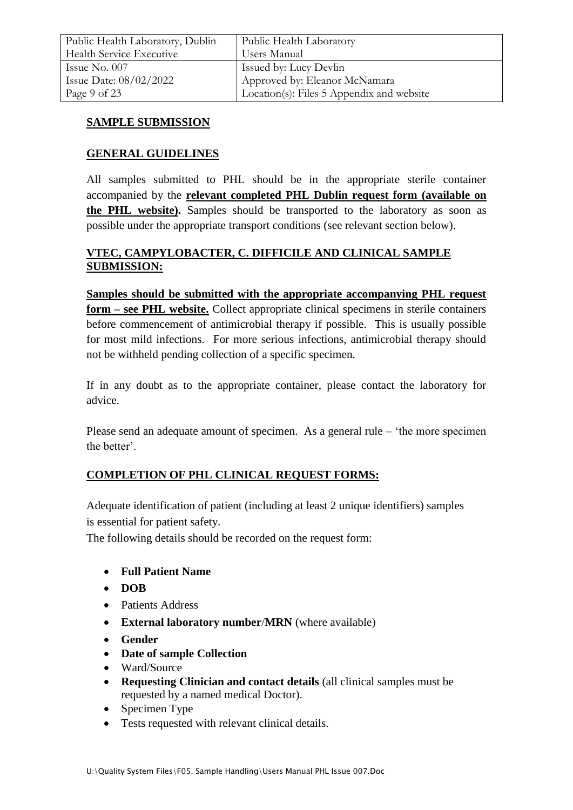## **SAMPLE SUBMISSION**

#### **GENERAL GUIDELINES**

All samples submitted to PHL should be in the appropriate sterile container accompanied by the **relevant completed PHL Dublin request form (available on the PHL website).** Samples should be transported to the laboratory as soon as possible under the appropriate transport conditions (see relevant section below).

## **VTEC, CAMPYLOBACTER, C. DIFFICILE AND CLINICAL SAMPLE SUBMISSION:**

**Samples should be submitted with the appropriate accompanying PHL request form – see PHL website.** Collect appropriate clinical specimens in sterile containers before commencement of antimicrobial therapy if possible. This is usually possible for most mild infections. For more serious infections, antimicrobial therapy should not be withheld pending collection of a specific specimen.

If in any doubt as to the appropriate container, please contact the laboratory for advice.

Please send an adequate amount of specimen. As a general rule – 'the more specimen the better'.

#### **COMPLETION OF PHL CLINICAL REQUEST FORMS:**

Adequate identification of patient (including at least 2 unique identifiers) samples is essential for patient safety.

The following details should be recorded on the request form:

- **Full Patient Name**
- **DOB**
- Patients Address
- **External laboratory number**/**MRN** (where available)
- **Gender**
- **Date of sample Collection**
- Ward/Source
- **Requesting Clinician and contact details** (all clinical samples must be requested by a named medical Doctor).
- Specimen Type
- Tests requested with relevant clinical details.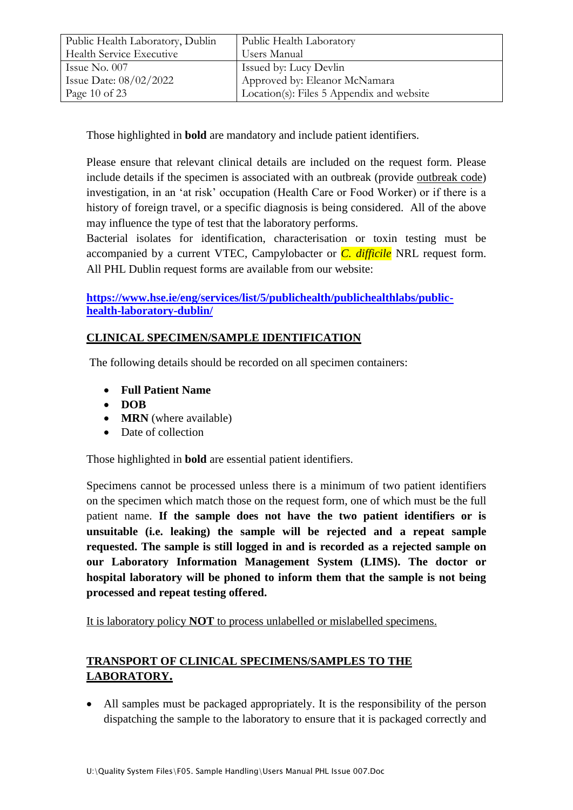| Public Health Laboratory, Dublin | Public Health Laboratory                  |
|----------------------------------|-------------------------------------------|
| Health Service Executive         | Users Manual                              |
| Issue No. 007                    | Issued by: Lucy Devlin                    |
| Issue Date: $08/02/2022$         | Approved by: Eleanor McNamara             |
| Page 10 of 23                    | Location(s): Files 5 Appendix and website |

Those highlighted in **bold** are mandatory and include patient identifiers.

Please ensure that relevant clinical details are included on the request form. Please include details if the specimen is associated with an outbreak (provide outbreak code) investigation, in an 'at risk' occupation (Health Care or Food Worker) or if there is a history of foreign travel, or a specific diagnosis is being considered. All of the above may influence the type of test that the laboratory performs.

Bacterial isolates for identification, characterisation or toxin testing must be accompanied by a current VTEC, Campylobacter or *C. difficile* NRL request form. All PHL Dublin request forms are available from our website:

## **[https://www.hse.ie/eng/services/list/5/publichealth/publichealthlabs/public](https://www.hse.ie/eng/services/list/5/publichealth/publichealthlabs/public-health-laboratory-dublin/)[health-laboratory-dublin/](https://www.hse.ie/eng/services/list/5/publichealth/publichealthlabs/public-health-laboratory-dublin/)**

# **CLINICAL SPECIMEN/SAMPLE IDENTIFICATION**

The following details should be recorded on all specimen containers:

- **Full Patient Name**
- **DOB**
- **MRN** (where available)
- Date of collection

Those highlighted in **bold** are essential patient identifiers.

Specimens cannot be processed unless there is a minimum of two patient identifiers on the specimen which match those on the request form, one of which must be the full patient name. **If the sample does not have the two patient identifiers or is unsuitable (i.e. leaking) the sample will be rejected and a repeat sample requested. The sample is still logged in and is recorded as a rejected sample on our Laboratory Information Management System (LIMS). The doctor or hospital laboratory will be phoned to inform them that the sample is not being processed and repeat testing offered.** 

It is laboratory policy **NOT** to process unlabelled or mislabelled specimens.

# **TRANSPORT OF CLINICAL SPECIMENS/SAMPLES TO THE LABORATORY.**

 All samples must be packaged appropriately. It is the responsibility of the person dispatching the sample to the laboratory to ensure that it is packaged correctly and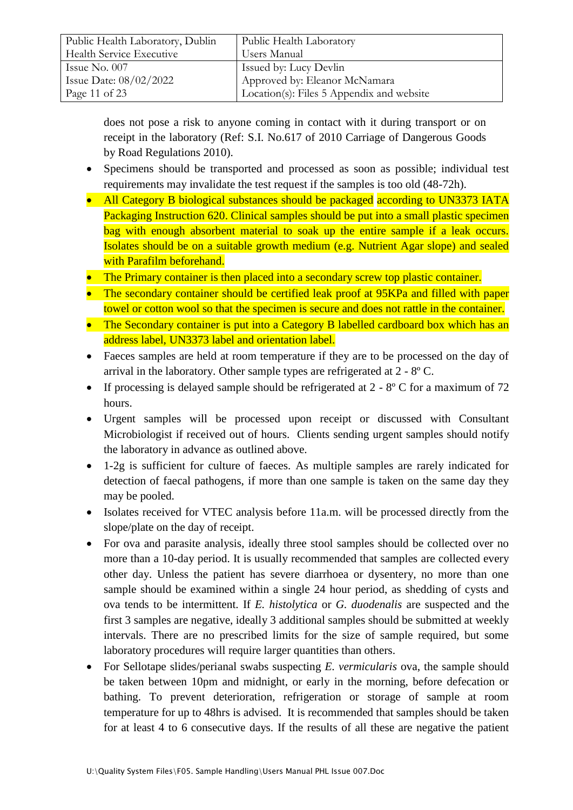| Public Health Laboratory, Dublin | Public Health Laboratory                  |
|----------------------------------|-------------------------------------------|
| Health Service Executive         | Users Manual                              |
| Issue No. $007$                  | Issued by: Lucy Devlin                    |
| Issue Date: $08/02/2022$         | Approved by: Eleanor McNamara             |
| Page 11 of 23                    | Location(s): Files 5 Appendix and website |

does not pose a risk to anyone coming in contact with it during transport or on receipt in the laboratory (Ref: S.I. No.617 of 2010 Carriage of Dangerous Goods by Road Regulations 2010).

- Specimens should be transported and processed as soon as possible; individual test requirements may invalidate the test request if the samples is too old (48-72h).
- All Category B biological substances should be packaged according to UN3373 IATA Packaging Instruction 620. Clinical samples should be put into a small plastic specimen bag with enough absorbent material to soak up the entire sample if a leak occurs. Isolates should be on a suitable growth medium (e.g. Nutrient Agar slope) and sealed with Parafilm beforehand.
- The Primary container is then placed into a secondary screw top plastic container.
- The secondary container should be certified leak proof at 95KPa and filled with paper towel or cotton wool so that the specimen is secure and does not rattle in the container.
- The Secondary container is put into a Category B labelled cardboard box which has an address label, UN3373 label and orientation label.
- Faeces samples are held at room temperature if they are to be processed on the day of arrival in the laboratory. Other sample types are refrigerated at 2 - 8º C.
- If processing is delayed sample should be refrigerated at  $2 8^{\circ}$  C for a maximum of 72 hours.
- Urgent samples will be processed upon receipt or discussed with Consultant Microbiologist if received out of hours. Clients sending urgent samples should notify the laboratory in advance as outlined above.
- 1-2g is sufficient for culture of faeces. As multiple samples are rarely indicated for detection of faecal pathogens, if more than one sample is taken on the same day they may be pooled.
- Isolates received for VTEC analysis before 11a.m. will be processed directly from the slope/plate on the day of receipt.
- For ova and parasite analysis, ideally three stool samples should be collected over no more than a 10-day period. It is usually recommended that samples are collected every other day. Unless the patient has severe diarrhoea or dysentery, no more than one sample should be examined within a single 24 hour period, as shedding of cysts and ova tends to be intermittent. If *E. histolytica* or *G. duodenalis* are suspected and the first 3 samples are negative, ideally 3 additional samples should be submitted at weekly intervals. There are no prescribed limits for the size of sample required, but some laboratory procedures will require larger quantities than others.
- For Sellotape slides/perianal swabs suspecting *E. vermicularis* ova, the sample should be taken between 10pm and midnight, or early in the morning, before defecation or bathing. To prevent deterioration, refrigeration or storage of sample at room temperature for up to 48hrs is advised. It is recommended that samples should be taken for at least 4 to 6 consecutive days. If the results of all these are negative the patient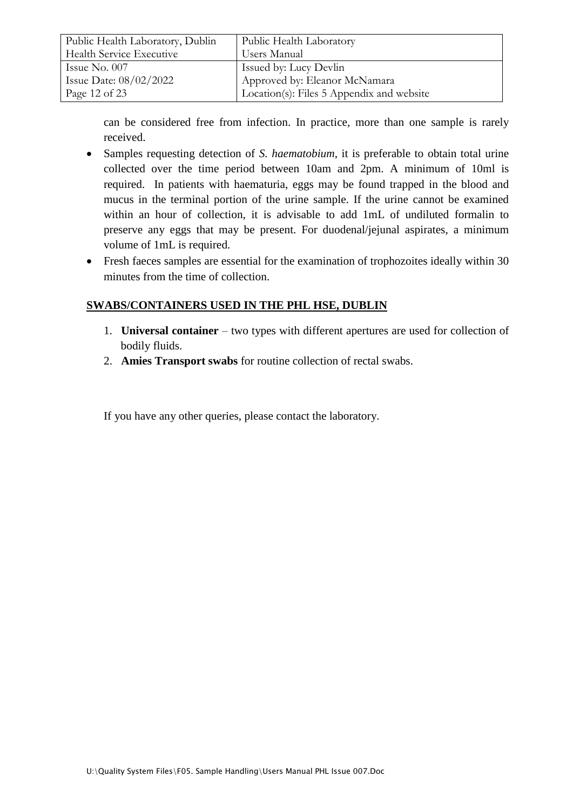| Public Health Laboratory, Dublin | Public Health Laboratory                  |
|----------------------------------|-------------------------------------------|
| Health Service Executive         | Users Manual                              |
| Issue No. $007$                  | Issued by: Lucy Devlin                    |
| Issue Date: $08/02/2022$         | Approved by: Eleanor McNamara             |
| Page 12 of 23                    | Location(s): Files 5 Appendix and website |

can be considered free from infection. In practice, more than one sample is rarely received.

- Samples requesting detection of *S. haematobium*, it is preferable to obtain total urine collected over the time period between 10am and 2pm. A minimum of 10ml is required. In patients with haematuria, eggs may be found trapped in the blood and mucus in the terminal portion of the urine sample. If the urine cannot be examined within an hour of collection, it is advisable to add 1mL of undiluted formalin to preserve any eggs that may be present. For duodenal/jejunal aspirates, a minimum volume of 1mL is required.
- Fresh faeces samples are essential for the examination of trophozoites ideally within 30 minutes from the time of collection.

## **SWABS/CONTAINERS USED IN THE PHL HSE, DUBLIN**

- 1. **Universal container** two types with different apertures are used for collection of bodily fluids.
- 2. **Amies Transport swabs** for routine collection of rectal swabs.

If you have any other queries, please contact the laboratory.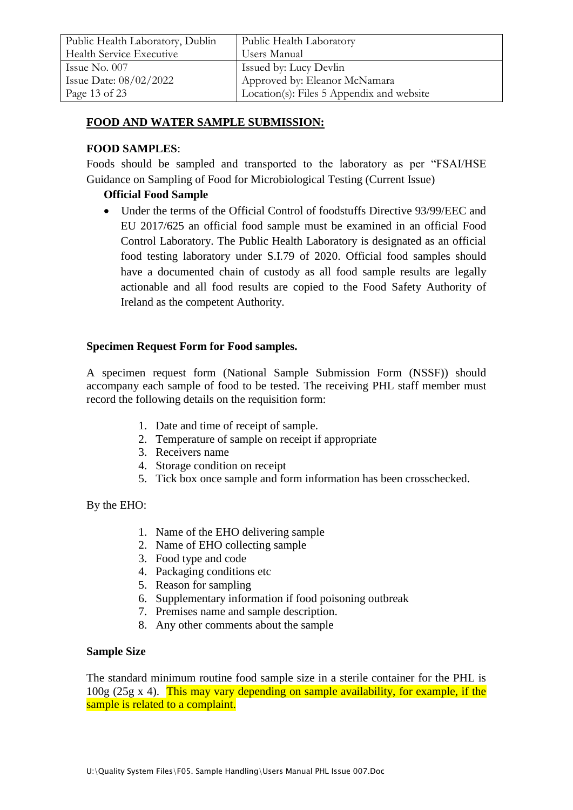| Public Health Laboratory, Dublin | Public Health Laboratory                  |
|----------------------------------|-------------------------------------------|
| Health Service Executive         | Users Manual                              |
| Issue No. $007$                  | Issued by: Lucy Devlin                    |
| Issue Date: 08/02/2022           | Approved by: Eleanor McNamara             |
| Page 13 of 23                    | Location(s): Files 5 Appendix and website |

#### **FOOD AND WATER SAMPLE SUBMISSION:**

#### **FOOD SAMPLES**:

Foods should be sampled and transported to the laboratory as per "FSAI/HSE Guidance on Sampling of Food for Microbiological Testing (Current Issue)

#### **Official Food Sample**

 Under the terms of the Official Control of foodstuffs Directive 93/99/EEC and EU 2017/625 an official food sample must be examined in an official Food Control Laboratory. The Public Health Laboratory is designated as an official food testing laboratory under S.I.79 of 2020. Official food samples should have a documented chain of custody as all food sample results are legally actionable and all food results are copied to the Food Safety Authority of Ireland as the competent Authority.

#### **Specimen Request Form for Food samples.**

A specimen request form (National Sample Submission Form (NSSF)) should accompany each sample of food to be tested. The receiving PHL staff member must record the following details on the requisition form:

- 1. Date and time of receipt of sample.
- 2. Temperature of sample on receipt if appropriate
- 3. Receivers name
- 4. Storage condition on receipt
- 5. Tick box once sample and form information has been crosschecked.

By the EHO:

- 1. Name of the EHO delivering sample
- 2. Name of EHO collecting sample
- 3. Food type and code
- 4. Packaging conditions etc
- 5. Reason for sampling
- 6. Supplementary information if food poisoning outbreak
- 7. Premises name and sample description.
- 8. Any other comments about the sample

#### **Sample Size**

The standard minimum routine food sample size in a sterile container for the PHL is 100g (25g x 4). This may vary depending on sample availability, for example, if the sample is related to a complaint.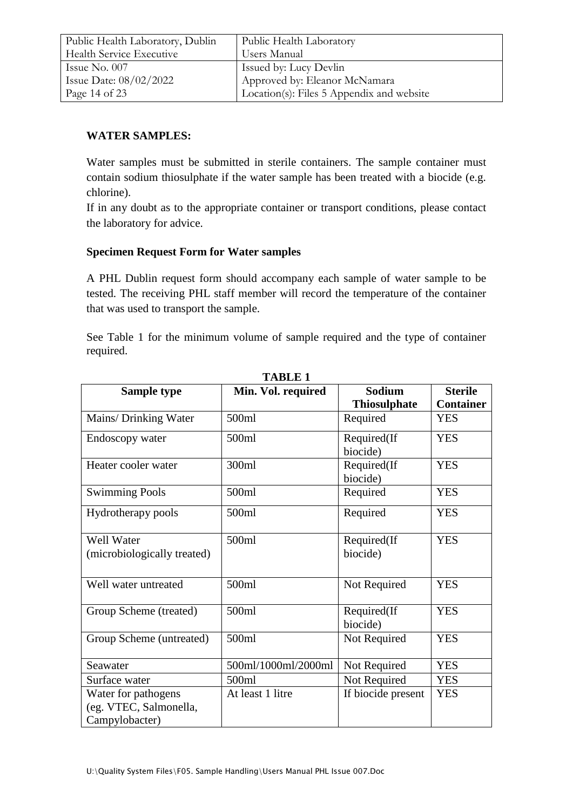| Public Health Laboratory, Dublin | Public Health Laboratory                  |
|----------------------------------|-------------------------------------------|
| Health Service Executive         | Users Manual                              |
| Issue No. $007$                  | Issued by: Lucy Devlin                    |
| Issue Date: $08/02/2022$         | Approved by: Eleanor McNamara             |
| Page 14 of 23                    | Location(s): Files 5 Appendix and website |

## **WATER SAMPLES:**

Water samples must be submitted in sterile containers. The sample container must contain sodium thiosulphate if the water sample has been treated with a biocide (e.g. chlorine).

If in any doubt as to the appropriate container or transport conditions, please contact the laboratory for advice.

#### **Specimen Request Form for Water samples**

A PHL Dublin request form should accompany each sample of water sample to be tested. The receiving PHL staff member will record the temperature of the container that was used to transport the sample.

See Table 1 for the minimum volume of sample required and the type of container required.

| Sample type                                                     | Min. Vol. required  | <b>Sodium</b>           | <b>Sterile</b>   |
|-----------------------------------------------------------------|---------------------|-------------------------|------------------|
|                                                                 |                     | <b>Thiosulphate</b>     | <b>Container</b> |
| Mains/ Drinking Water                                           | 500ml               | Required                | <b>YES</b>       |
| Endoscopy water                                                 | 500ml               | Required(If<br>biocide) | <b>YES</b>       |
| Heater cooler water                                             | 300ml               | Required(If<br>biocide) | <b>YES</b>       |
| <b>Swimming Pools</b>                                           | 500ml               | Required                | <b>YES</b>       |
| Hydrotherapy pools                                              | 500ml               | Required                | <b>YES</b>       |
| <b>Well Water</b><br>(microbiologically treated)                | 500ml               | Required(If<br>biocide) | <b>YES</b>       |
| Well water untreated                                            | 500ml               | Not Required            | <b>YES</b>       |
| Group Scheme (treated)                                          | 500ml               | Required(If<br>biocide) | <b>YES</b>       |
| Group Scheme (untreated)                                        | 500ml               | Not Required            | <b>YES</b>       |
| Seawater                                                        | 500ml/1000ml/2000ml | Not Required            | <b>YES</b>       |
| Surface water                                                   | 500ml               | Not Required            | <b>YES</b>       |
| Water for pathogens<br>(eg. VTEC, Salmonella,<br>Campylobacter) | At least 1 litre    | If biocide present      | <b>YES</b>       |

**TABLE 1**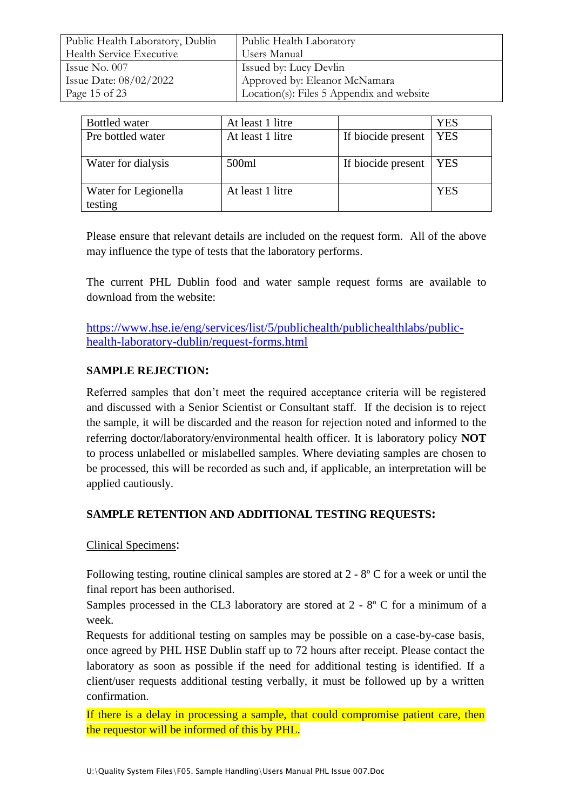| Public Health Laboratory, Dublin | Public Health Laboratory                  |
|----------------------------------|-------------------------------------------|
| <b>Health Service Executive</b>  | Users Manual                              |
| Issue No. $007$                  | Issued by: Lucy Devlin                    |
| Issue Date: $08/02/2022$         | Approved by: Eleanor McNamara             |
| Page 15 of 23                    | Location(s): Files 5 Appendix and website |

| <b>Bottled</b> water            | At least 1 litre |                    | YES        |
|---------------------------------|------------------|--------------------|------------|
| Pre bottled water               | At least 1 litre | If biocide present | <b>YES</b> |
| Water for dialysis              | 500ml            | If biocide present | <b>YES</b> |
| Water for Legionella<br>testing | At least 1 litre |                    | YES        |

Please ensure that relevant details are included on the request form. All of the above may influence the type of tests that the laboratory performs.

The current PHL Dublin food and water sample request forms are available to download from the website:

[https://www.hse.ie/eng/services/list/5/publichealth/publichealthlabs/public](https://www.hse.ie/eng/services/list/5/publichealth/publichealthlabs/public-health-laboratory-dublin/request-forms.html)[health-laboratory-dublin/request-forms.html](https://www.hse.ie/eng/services/list/5/publichealth/publichealthlabs/public-health-laboratory-dublin/request-forms.html)

#### **SAMPLE REJECTION:**

Referred samples that don't meet the required acceptance criteria will be registered and discussed with a Senior Scientist or Consultant staff. If the decision is to reject the sample, it will be discarded and the reason for rejection noted and informed to the referring doctor/laboratory/environmental health officer. It is laboratory policy **NOT** to process unlabelled or mislabelled samples. Where deviating samples are chosen to be processed, this will be recorded as such and, if applicable, an interpretation will be applied cautiously.

#### **SAMPLE RETENTION AND ADDITIONAL TESTING REQUESTS:**

#### Clinical Specimens:

Following testing, routine clinical samples are stored at 2 - 8º C for a week or until the final report has been authorised.

Samples processed in the CL3 laboratory are stored at  $2 - 8^{\circ}$  C for a minimum of a week.

Requests for additional testing on samples may be possible on a case-by-case basis, once agreed by PHL HSE Dublin staff up to 72 hours after receipt. Please contact the laboratory as soon as possible if the need for additional testing is identified. If a client/user requests additional testing verbally, it must be followed up by a written confirmation.

If there is a delay in processing a sample, that could compromise patient care, then the requestor will be informed of this by PHL.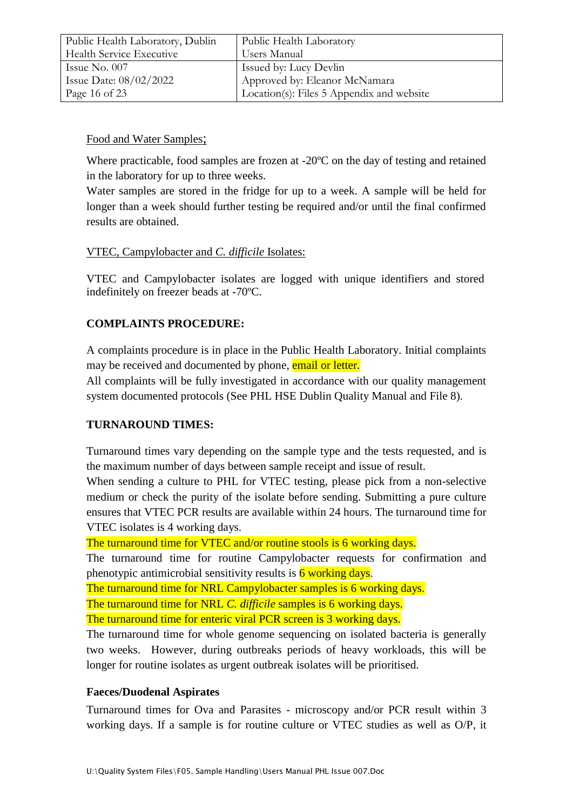| Public Health Laboratory, Dublin | Public Health Laboratory                  |
|----------------------------------|-------------------------------------------|
| Health Service Executive         | Users Manual                              |
| Issue No. $007$                  | <b>Issued by: Lucy Devlin</b>             |
| Issue Date: $08/02/2022$         | Approved by: Eleanor McNamara             |
| Page 16 of 23                    | Location(s): Files 5 Appendix and website |

#### Food and Water Samples;

Where practicable, food samples are frozen at -20<sup>o</sup>C on the day of testing and retained in the laboratory for up to three weeks.

Water samples are stored in the fridge for up to a week. A sample will be held for longer than a week should further testing be required and/or until the final confirmed results are obtained.

## VTEC, Campylobacter and *C. difficile* Isolates:

VTEC and Campylobacter isolates are logged with unique identifiers and stored indefinitely on freezer beads at -70ºC.

## **COMPLAINTS PROCEDURE:**

A complaints procedure is in place in the Public Health Laboratory. Initial complaints may be received and documented by phone, email or letter.

All complaints will be fully investigated in accordance with our quality management system documented protocols (See PHL HSE Dublin Quality Manual and File 8).

#### **TURNAROUND TIMES:**

Turnaround times vary depending on the sample type and the tests requested, and is the maximum number of days between sample receipt and issue of result.

When sending a culture to PHL for VTEC testing, please pick from a non-selective medium or check the purity of the isolate before sending. Submitting a pure culture ensures that VTEC PCR results are available within 24 hours. The turnaround time for VTEC isolates is 4 working days.

The turnaround time for VTEC and/or routine stools is 6 working days.

The turnaround time for routine Campylobacter requests for confirmation and phenotypic antimicrobial sensitivity results is  $\frac{6}{6}$  working days.

The turnaround time for NRL Campylobacter samples is 6 working days.

The turnaround time for NRL *C. difficile* samples is 6 working days.

The turnaround time for enteric viral PCR screen is 3 working days.

The turnaround time for whole genome sequencing on isolated bacteria is generally two weeks. However, during outbreaks periods of heavy workloads, this will be longer for routine isolates as urgent outbreak isolates will be prioritised.

#### **Faeces/Duodenal Aspirates**

Turnaround times for Ova and Parasites - microscopy and/or PCR result within 3 working days. If a sample is for routine culture or VTEC studies as well as O/P, it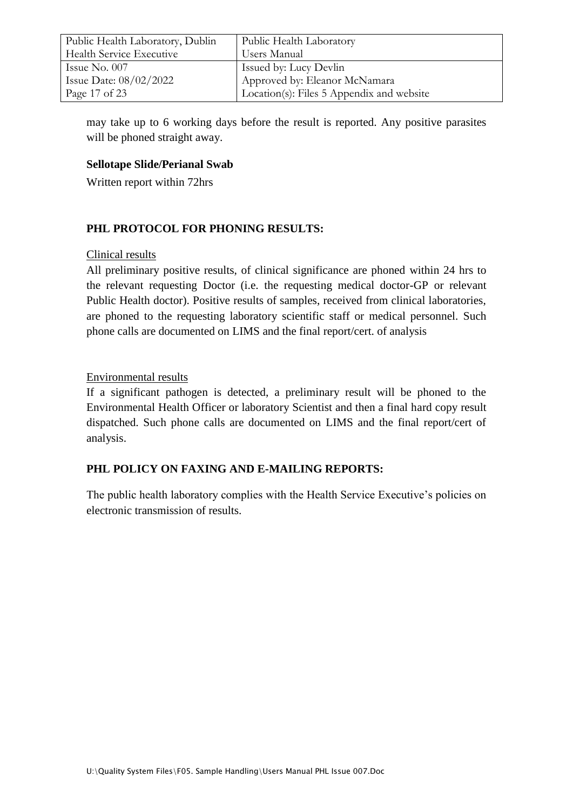| Public Health Laboratory, Dublin | Public Health Laboratory                  |
|----------------------------------|-------------------------------------------|
| Health Service Executive         | Users Manual                              |
| Issue No. $007$                  | Issued by: Lucy Devlin                    |
| Issue Date: $08/02/2022$         | Approved by: Eleanor McNamara             |
| Page 17 of 23                    | Location(s): Files 5 Appendix and website |

may take up to 6 working days before the result is reported. Any positive parasites will be phoned straight away.

#### **Sellotape Slide/Perianal Swab**

Written report within 72hrs

#### **PHL PROTOCOL FOR PHONING RESULTS:**

#### Clinical results

All preliminary positive results, of clinical significance are phoned within 24 hrs to the relevant requesting Doctor (i.e. the requesting medical doctor-GP or relevant Public Health doctor). Positive results of samples, received from clinical laboratories, are phoned to the requesting laboratory scientific staff or medical personnel. Such phone calls are documented on LIMS and the final report/cert. of analysis

#### Environmental results

If a significant pathogen is detected, a preliminary result will be phoned to the Environmental Health Officer or laboratory Scientist and then a final hard copy result dispatched. Such phone calls are documented on LIMS and the final report/cert of analysis.

#### **PHL POLICY ON FAXING AND E-MAILING REPORTS:**

The public health laboratory complies with the Health Service Executive's policies on electronic transmission of results.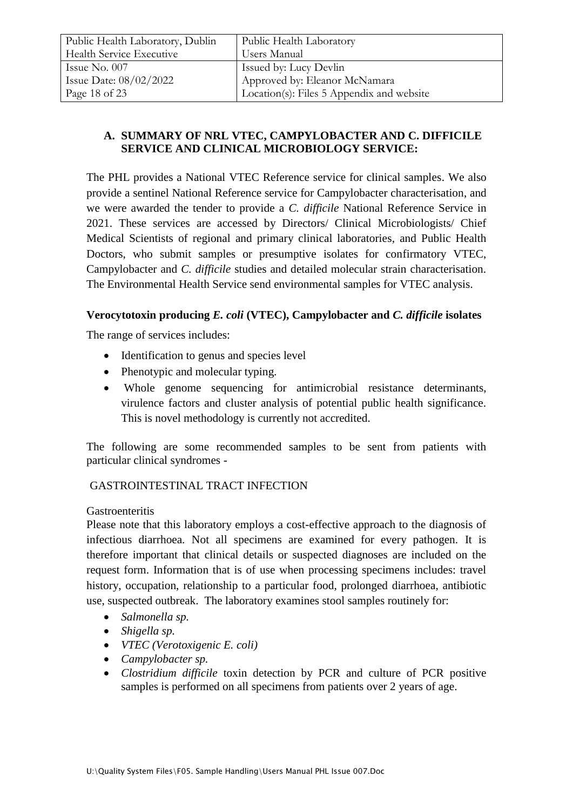| Public Health Laboratory, Dublin | Public Health Laboratory                  |
|----------------------------------|-------------------------------------------|
| <b>Health Service Executive</b>  | Users Manual                              |
| Issue No. $007$                  | Issued by: Lucy Devlin                    |
| Issue Date: 08/02/2022           | Approved by: Eleanor McNamara             |
| Page 18 of 23                    | Location(s): Files 5 Appendix and website |

## **A. SUMMARY OF NRL VTEC, CAMPYLOBACTER AND C. DIFFICILE SERVICE AND CLINICAL MICROBIOLOGY SERVICE:**

The PHL provides a National VTEC Reference service for clinical samples. We also provide a sentinel National Reference service for Campylobacter characterisation, and we were awarded the tender to provide a *C. difficile* National Reference Service in 2021. These services are accessed by Directors/ Clinical Microbiologists/ Chief Medical Scientists of regional and primary clinical laboratories, and Public Health Doctors, who submit samples or presumptive isolates for confirmatory VTEC, Campylobacter and *C. difficile* studies and detailed molecular strain characterisation. The Environmental Health Service send environmental samples for VTEC analysis.

## **Verocytotoxin producing** *E. coli* **(VTEC), Campylobacter and** *C. difficile* **isolates**

The range of services includes:

- Identification to genus and species level
- Phenotypic and molecular typing.
- Whole genome sequencing for antimicrobial resistance determinants, virulence factors and cluster analysis of potential public health significance. This is novel methodology is currently not accredited.

The following are some recommended samples to be sent from patients with particular clinical syndromes -

# GASTROINTESTINAL TRACT INFECTION

#### **Gastroenteritis**

Please note that this laboratory employs a cost-effective approach to the diagnosis of infectious diarrhoea. Not all specimens are examined for every pathogen. It is therefore important that clinical details or suspected diagnoses are included on the request form. Information that is of use when processing specimens includes: travel history, occupation, relationship to a particular food, prolonged diarrhoea, antibiotic use, suspected outbreak. The laboratory examines stool samples routinely for:

- *Salmonella sp.*
- *Shigella sp.*
- *VTEC (Verotoxigenic E. coli)*
- *Campylobacter sp.*
- *Clostridium difficile* toxin detection by PCR and culture of PCR positive samples is performed on all specimens from patients over 2 years of age.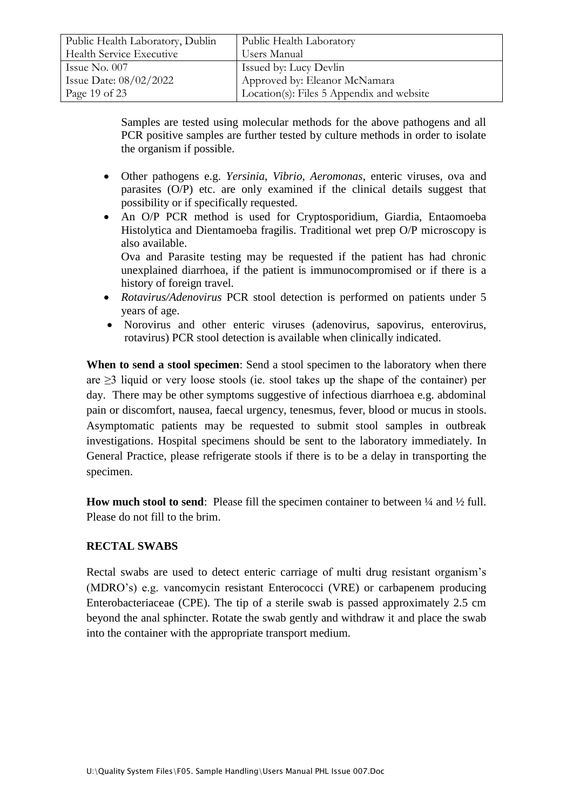| Public Health Laboratory, Dublin | Public Health Laboratory                  |
|----------------------------------|-------------------------------------------|
| Health Service Executive         | Users Manual                              |
| Issue No. $007$                  | Issued by: Lucy Devlin                    |
| Issue Date: $08/02/2022$         | Approved by: Eleanor McNamara             |
| Page 19 of 23                    | Location(s): Files 5 Appendix and website |

Samples are tested using molecular methods for the above pathogens and all PCR positive samples are further tested by culture methods in order to isolate the organism if possible.

- Other pathogens e.g. *Yersinia, Vibrio, Aeromonas*, enteric viruses, ova and parasites (O/P) etc. are only examined if the clinical details suggest that possibility or if specifically requested.
- An O/P PCR method is used for Cryptosporidium, Giardia, Entaomoeba Histolytica and Dientamoeba fragilis. Traditional wet prep O/P microscopy is also available.

Ova and Parasite testing may be requested if the patient has had chronic unexplained diarrhoea, if the patient is immunocompromised or if there is a history of foreign travel.

- *Rotavirus/Adenovirus* PCR stool detection is performed on patients under 5 years of age.
- Norovirus and other enteric viruses (adenovirus, sapovirus, enterovirus, rotavirus) PCR stool detection is available when clinically indicated.

**When to send a stool specimen**: Send a stool specimen to the laboratory when there are  $\geq$ 3 liquid or very loose stools (ie. stool takes up the shape of the container) per day. There may be other symptoms suggestive of infectious diarrhoea e.g. abdominal pain or discomfort, nausea, faecal urgency, tenesmus, fever, blood or mucus in stools. Asymptomatic patients may be requested to submit stool samples in outbreak investigations. Hospital specimens should be sent to the laboratory immediately. In General Practice, please refrigerate stools if there is to be a delay in transporting the specimen.

**How much stool to send:** Please fill the specimen container to between  $\frac{1}{4}$  and  $\frac{1}{2}$  full. Please do not fill to the brim.

#### **RECTAL SWABS**

Rectal swabs are used to detect enteric carriage of multi drug resistant organism's (MDRO's) e.g. vancomycin resistant Enterococci (VRE) or carbapenem producing Enterobacteriaceae (CPE). The tip of a sterile swab is passed approximately 2.5 cm beyond the anal sphincter. Rotate the swab gently and withdraw it and place the swab into the container with the appropriate transport medium.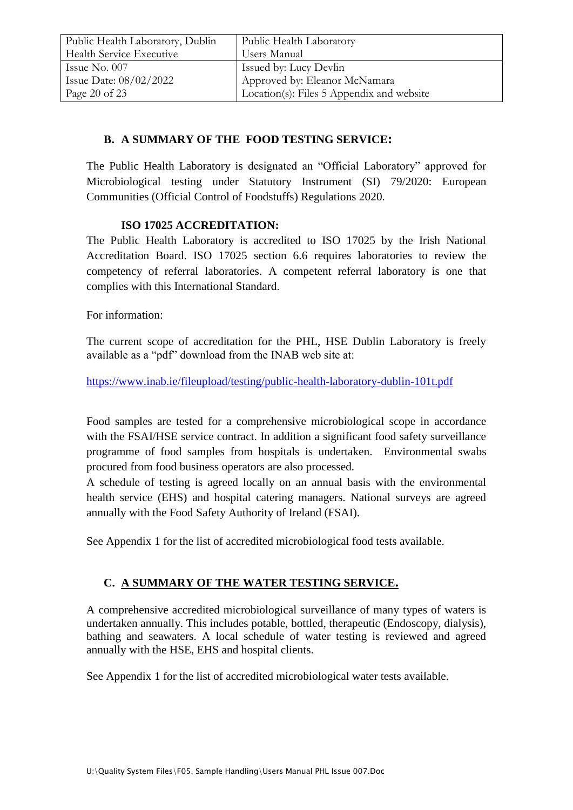| Public Health Laboratory, Dublin | Public Health Laboratory                  |
|----------------------------------|-------------------------------------------|
| Health Service Executive         | Users Manual                              |
| Issue No. $007$                  | Issued by: Lucy Devlin                    |
| Issue Date: $08/02/2022$         | Approved by: Eleanor McNamara             |
| Page 20 of 23                    | Location(s): Files 5 Appendix and website |

## **B. A SUMMARY OF THE FOOD TESTING SERVICE:**

The Public Health Laboratory is designated an "Official Laboratory" approved for Microbiological testing under Statutory Instrument (SI) 79/2020: European Communities (Official Control of Foodstuffs) Regulations 2020.

#### **ISO 17025 ACCREDITATION:**

The Public Health Laboratory is accredited to ISO 17025 by the Irish National Accreditation Board. ISO 17025 section 6.6 requires laboratories to review the competency of referral laboratories. A competent referral laboratory is one that complies with this International Standard.

For information:

The current scope of accreditation for the PHL, HSE Dublin Laboratory is freely available as a "pdf" download from the INAB web site at:

<https://www.inab.ie/fileupload/testing/public-health-laboratory-dublin-101t.pdf>

Food samples are tested for a comprehensive microbiological scope in accordance with the FSAI/HSE service contract. In addition a significant food safety surveillance programme of food samples from hospitals is undertaken. Environmental swabs procured from food business operators are also processed.

A schedule of testing is agreed locally on an annual basis with the environmental health service (EHS) and hospital catering managers. National surveys are agreed annually with the Food Safety Authority of Ireland (FSAI).

See Appendix 1 for the list of accredited microbiological food tests available.

# **C. A SUMMARY OF THE WATER TESTING SERVICE.**

A comprehensive accredited microbiological surveillance of many types of waters is undertaken annually. This includes potable, bottled, therapeutic (Endoscopy, dialysis), bathing and seawaters. A local schedule of water testing is reviewed and agreed annually with the HSE, EHS and hospital clients.

See Appendix 1 for the list of accredited microbiological water tests available.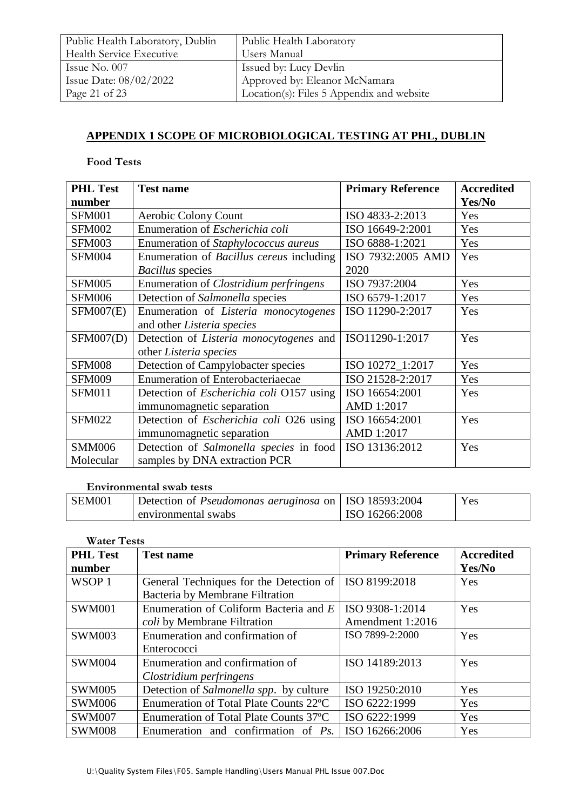| Public Health Laboratory, Dublin | Public Health Laboratory                  |
|----------------------------------|-------------------------------------------|
| Health Service Executive         | Users Manual                              |
| Issue No. 007                    | Issued by: Lucy Devlin                    |
| Issue Date: $08/02/2022$         | Approved by: Eleanor McNamara             |
| Page 21 of 23                    | Location(s): Files 5 Appendix and website |

# **APPENDIX 1 SCOPE OF MICROBIOLOGICAL TESTING AT PHL, DUBLIN**

#### **Food Tests**

| <b>PHL Test</b><br>number | <b>Test name</b>                                | <b>Primary Reference</b> | <b>Accredited</b><br>Yes/No |
|---------------------------|-------------------------------------------------|--------------------------|-----------------------------|
| <b>SFM001</b>             | Aerobic Colony Count                            | ISO 4833-2:2013          | Yes                         |
| <b>SFM002</b>             | Enumeration of Escherichia coli                 | ISO 16649-2:2001         | Yes                         |
| <b>SFM003</b>             | Enumeration of Staphylococcus aureus            | ISO 6888-1:2021          | Yes                         |
| <b>SFM004</b>             | Enumeration of Bacillus cereus including        | ISO 7932:2005 AMD        | Yes                         |
|                           | <i>Bacillus</i> species                         | 2020                     |                             |
| <b>SFM005</b>             | Enumeration of <i>Clostridium perfringens</i>   | ISO 7937:2004            | Yes                         |
| <b>SFM006</b>             | Detection of Salmonella species                 | ISO 6579-1:2017          | Yes                         |
| <b>SFM007(E)</b>          | Enumeration of Listeria monocytogenes           | ISO 11290-2:2017         | Yes                         |
|                           | and other Listeria species                      |                          |                             |
| SFM007(D)                 | Detection of <i>Listeria monocytogenes</i> and  | ISO11290-1:2017          | Yes                         |
|                           | other Listeria species                          |                          |                             |
| <b>SFM008</b>             | Detection of Campylobacter species              | ISO 10272_1:2017         | Yes                         |
| <b>SFM009</b>             | <b>Enumeration of Enterobacteriaecae</b>        | ISO 21528-2:2017         | Yes                         |
| <b>SFM011</b>             | Detection of <i>Escherichia coli</i> O157 using | ISO 16654:2001           | Yes                         |
|                           | immunomagnetic separation                       | AMD 1:2017               |                             |
| <b>SFM022</b>             | Detection of <i>Escherichia coli</i> O26 using  | ISO 16654:2001           | Yes                         |
|                           | immunomagnetic separation                       | AMD 1:2017               |                             |
| <b>SMM006</b>             | Detection of Salmonella species in food         | ISO 13136:2012           | Yes                         |
| Molecular                 | samples by DNA extraction PCR                   |                          |                             |

#### **Environmental swab tests**

| SEM001 | Detection of <i>Pseudomonas aeruginosa</i> on   ISO 18593:2004 |                | Yes |
|--------|----------------------------------------------------------------|----------------|-----|
|        | environmental swabs                                            | ISO 16266:2008 |     |

| <b>Water Tests</b> |                                         |                          |                   |
|--------------------|-----------------------------------------|--------------------------|-------------------|
| <b>PHL Test</b>    | <b>Test name</b>                        | <b>Primary Reference</b> | <b>Accredited</b> |
| number             |                                         |                          | Yes/No            |
| WSOP <sub>1</sub>  | General Techniques for the Detection of | ISO 8199:2018            | Yes               |
|                    | Bacteria by Membrane Filtration         |                          |                   |
| <b>SWM001</b>      | Enumeration of Coliform Bacteria and E  | ISO 9308-1:2014          | Yes               |
|                    | <i>coli</i> by Membrane Filtration      | Amendment 1:2016         |                   |
| <b>SWM003</b>      | Enumeration and confirmation of         | ISO 7899-2:2000          | Yes               |
|                    | Enterococci                             |                          |                   |
| <b>SWM004</b>      | Enumeration and confirmation of         | ISO 14189:2013           | Yes               |
|                    | Clostridium perfringens                 |                          |                   |
| <b>SWM005</b>      | Detection of Salmonella spp. by culture | ISO 19250:2010           | Yes               |
| <b>SWM006</b>      | Enumeration of Total Plate Counts 22°C  | ISO 6222:1999            | Yes               |
| <b>SWM007</b>      | Enumeration of Total Plate Counts 37 °C | ISO 6222:1999            | Yes               |
| <b>SWM008</b>      | Enumeration and confirmation of $Ps$ .  | ISO 16266:2006           | Yes               |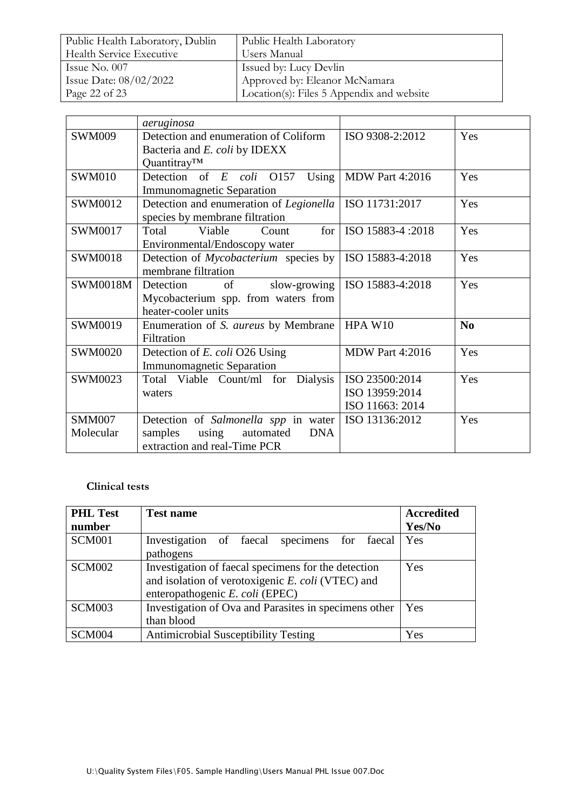| Public Health Laboratory, Dublin | Public Health Laboratory                  |
|----------------------------------|-------------------------------------------|
| <b>Health Service Executive</b>  | Users Manual                              |
| Issue No. $007$                  | <b>Issued by: Lucy Devlin</b>             |
| Issue Date: $08/02/2022$         | Approved by: Eleanor McNamara             |
| Page 22 of 23                    | Location(s): Files 5 Appendix and website |

|                 | aeruginosa                                   |                        |                |
|-----------------|----------------------------------------------|------------------------|----------------|
| <b>SWM009</b>   | Detection and enumeration of Coliform        | ISO 9308-2:2012        | Yes            |
|                 | Bacteria and E. coli by IDEXX                |                        |                |
|                 | Quantitray™                                  |                        |                |
| <b>SWM010</b>   | Detection of $E$ coli $O157$<br>Using        | <b>MDW Part 4:2016</b> | Yes            |
|                 | <b>Immunomagnetic Separation</b>             |                        |                |
| SWM0012         | Detection and enumeration of Legionella      | ISO 11731:2017         | Yes            |
|                 | species by membrane filtration               |                        |                |
| SWM0017         | Viable<br>for <sub>l</sub><br>Total<br>Count | ISO 15883-4:2018       | Yes            |
|                 | Environmental/Endoscopy water                |                        |                |
| <b>SWM0018</b>  | Detection of Mycobacterium species by        | ISO 15883-4:2018       | Yes            |
|                 | membrane filtration                          |                        |                |
| <b>SWM0018M</b> | slow-growing<br>Detection<br>of              | ISO 15883-4:2018       | Yes            |
|                 | Mycobacterium spp. from waters from          |                        |                |
|                 | heater-cooler units                          |                        |                |
| SWM0019         | Enumeration of S. aureus by Membrane         | HPA W10                | N <sub>0</sub> |
|                 | Filtration                                   |                        |                |
| <b>SWM0020</b>  | Detection of E. coli O26 Using               | <b>MDW Part 4:2016</b> | Yes            |
|                 | <b>Immunomagnetic Separation</b>             |                        |                |
| SWM0023         | Total Viable Count/ml for Dialysis           | ISO 23500:2014         | Yes            |
|                 | waters                                       | ISO 13959:2014         |                |
|                 |                                              | ISO 11663: 2014        |                |
| <b>SMM007</b>   | Detection of Salmonella spp in water         | ISO 13136:2012         | Yes            |
| Molecular       | samples<br><b>DNA</b><br>using<br>automated  |                        |                |
|                 | extraction and real-Time PCR                 |                        |                |

# **Clinical tests**

| <b>PHL Test</b><br>number | <b>Test name</b>                                                                                                                            | <b>Accredited</b><br>Yes/No |
|---------------------------|---------------------------------------------------------------------------------------------------------------------------------------------|-----------------------------|
| <b>SCM001</b>             | Investigation of faecal specimens for faecal<br>pathogens                                                                                   | Yes                         |
| <b>SCM002</b>             | Investigation of faecal specimens for the detection<br>and isolation of verotoxigenic E. coli (VTEC) and<br>enteropathogenic E. coli (EPEC) | Yes                         |
| <b>SCM003</b>             | Investigation of Ova and Parasites in specimens other<br>than blood                                                                         | Yes                         |
| SCM004                    | <b>Antimicrobial Susceptibility Testing</b>                                                                                                 | Yes                         |